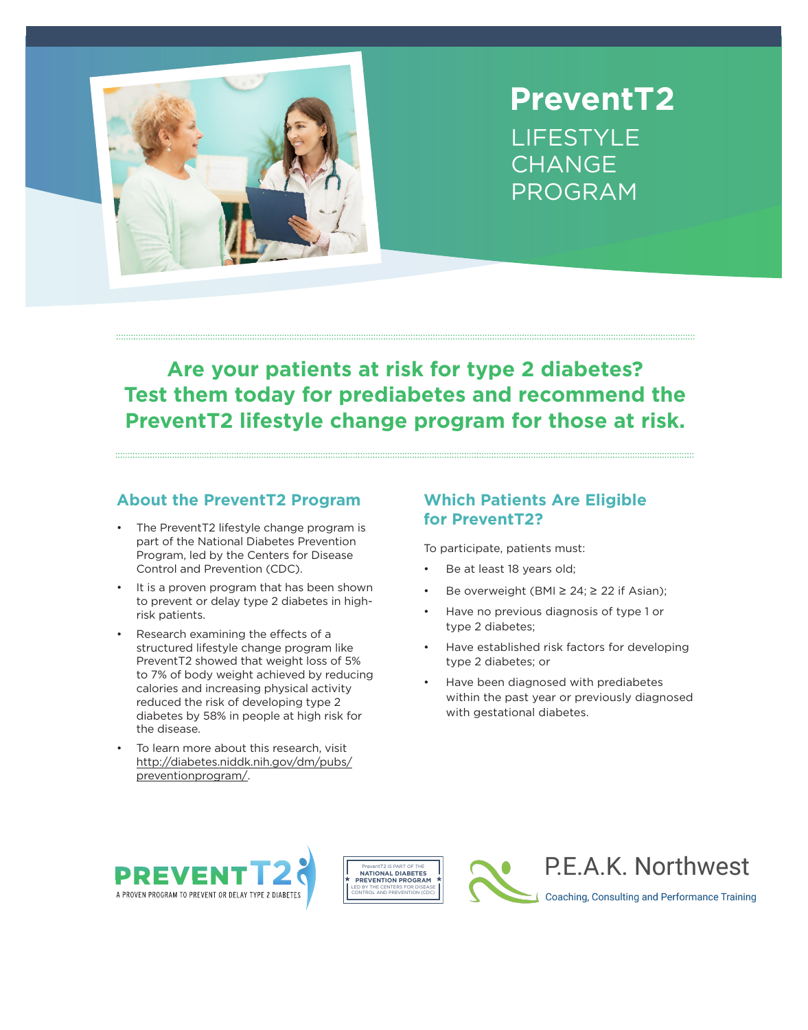

# **PreventT2** LIFESTYLE **CHANGE** PROGRAM

# **Are your patients at risk for type 2 diabetes? Test them today for prediabetes and recommend the PreventT2 lifestyle change program for those at risk.**

#### **About the PreventT2 Program**

- The PreventT2 lifestyle change program is part of the National Diabetes Prevention Program, led by the Centers for Disease Control and Prevention (CDC).
- It is a proven program that has been shown to prevent or delay type 2 diabetes in highrisk patients.
- Research examining the effects of a structured lifestyle change program like PreventT2 showed that weight loss of 5% to 7% of body weight achieved by reducing calories and increasing physical activity reduced the risk of developing type 2 diabetes by 58% in people at high risk for the disease.
- To learn more about this research, visit [http://diabetes.niddk.nih.gov/dm/pubs/](http://diabetes.niddk.nih.gov/dm/pubs/preventionprogram/) preventionprogram/.

## **Which Patients Are Eligible for PreventT2?**

To participate, patients must:

- Be at least 18 years old;
- Be overweight (BMI ≥ 24; ≥ 22 if Asian);
- Have no previous diagnosis of type 1 or type 2 diabetes;
- Have established risk factors for developing type 2 diabetes; or
- Have been diagnosed with prediabetes within the past year or previously diagnosed with gestational diabetes.